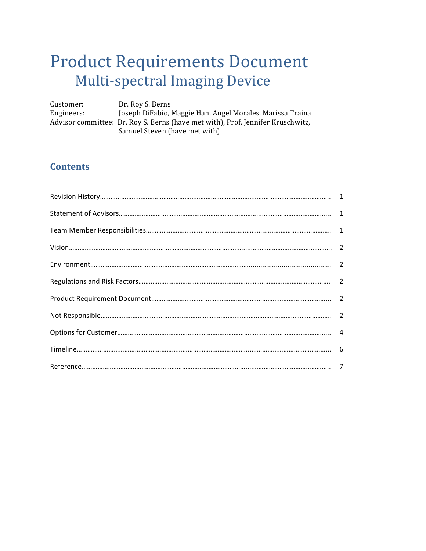# Product Requirements Document Multi-spectral Imaging Device

Customer: Dr. Roy S. Berns Engineers: Joseph DiFabio, Maggie Han, Angel Morales, Marissa Traina Advisor committee: Dr. Roy S. Berns (have met with), Prof. Jennifer Kruschwitz, Samuel Steven (have met with)

# **Contents**

| $\begin{minipage}{0.9\linewidth} \textbf{Revision History} \textbf{} \textbf{} \textbf{} \textbf{} \textbf{} \textbf{} \textbf{} \textbf{} \textbf{} \textbf{} \textbf{} \textbf{} \textbf{} \textbf{} \end{minipage} \begin{minipage}{0.9\linewidth} \begin{minipage}{0.9\linewidth} \begin{minipage}{0.9\linewidth} \begin{minipage}{0.9\linewidth} \end{minipage} \begin{minipage}{0.9\linewidth} \end{minipage} \begin{minipage}{0.9\linewidth} \begin{minipage}{0.9\linewidth} \begin{$ |  |
|----------------------------------------------------------------------------------------------------------------------------------------------------------------------------------------------------------------------------------------------------------------------------------------------------------------------------------------------------------------------------------------------------------------------------------------------------------------------------------------------|--|
|                                                                                                                                                                                                                                                                                                                                                                                                                                                                                              |  |
|                                                                                                                                                                                                                                                                                                                                                                                                                                                                                              |  |
|                                                                                                                                                                                                                                                                                                                                                                                                                                                                                              |  |
|                                                                                                                                                                                                                                                                                                                                                                                                                                                                                              |  |
|                                                                                                                                                                                                                                                                                                                                                                                                                                                                                              |  |
|                                                                                                                                                                                                                                                                                                                                                                                                                                                                                              |  |
|                                                                                                                                                                                                                                                                                                                                                                                                                                                                                              |  |
|                                                                                                                                                                                                                                                                                                                                                                                                                                                                                              |  |
|                                                                                                                                                                                                                                                                                                                                                                                                                                                                                              |  |
|                                                                                                                                                                                                                                                                                                                                                                                                                                                                                              |  |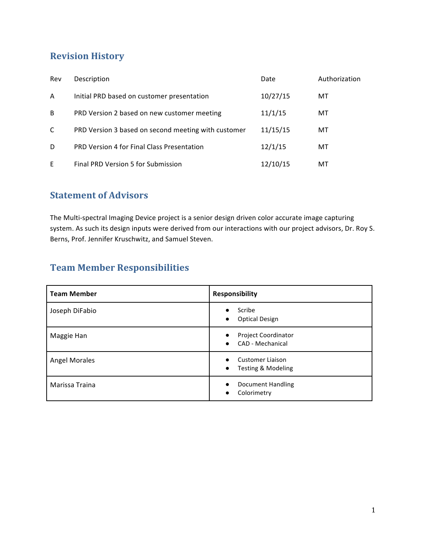# **Revision History**

| Rev | Description                                         | Date     | Authorization |
|-----|-----------------------------------------------------|----------|---------------|
| A   | Initial PRD based on customer presentation          | 10/27/15 | МT            |
| B   | PRD Version 2 based on new customer meeting         | 11/1/15  | МT            |
| C   | PRD Version 3 based on second meeting with customer | 11/15/15 | МT            |
| D   | PRD Version 4 for Final Class Presentation          | 12/1/15  | МT            |
| E   | Final PRD Version 5 for Submission                  | 12/10/15 | МT            |

# **Statement of Advisors**

The Multi-spectral Imaging Device project is a senior design driven color accurate image capturing system. As such its design inputs were derived from our interactions with our project advisors, Dr. Roy S. Berns, Prof. Jennifer Kruschwitz, and Samuel Steven.

# **Team Member Responsibilities**

| <b>Team Member</b>   | <b>Responsibility</b>                                                    |
|----------------------|--------------------------------------------------------------------------|
| Joseph DiFabio       | Scribe<br>$\bullet$<br><b>Optical Design</b><br>$\bullet$                |
| Maggie Han           | <b>Project Coordinator</b><br>$\bullet$<br>CAD - Mechanical<br>$\bullet$ |
| <b>Angel Morales</b> | Customer Liaison<br>$\bullet$<br>Testing & Modeling<br>$\bullet$         |
| Marissa Traina       | Document Handling<br>Colorimetry<br>$\bullet$                            |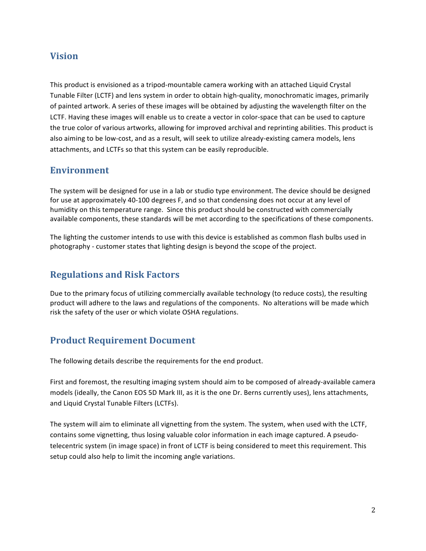## **Vision**

This product is envisioned as a tripod-mountable camera working with an attached Liquid Crystal Tunable Filter (LCTF) and lens system in order to obtain high-quality, monochromatic images, primarily of painted artwork. A series of these images will be obtained by adjusting the wavelength filter on the LCTF. Having these images will enable us to create a vector in color-space that can be used to capture the true color of various artworks, allowing for improved archival and reprinting abilities. This product is also aiming to be low-cost, and as a result, will seek to utilize already-existing camera models, lens attachments, and LCTFs so that this system can be easily reproducible.

### **Environment**

The system will be designed for use in a lab or studio type environment. The device should be designed for use at approximately 40-100 degrees F, and so that condensing does not occur at any level of humidity on this temperature range. Since this product should be constructed with commercially available components, these standards will be met according to the specifications of these components.

The lighting the customer intends to use with this device is established as common flash bulbs used in photography - customer states that lighting design is beyond the scope of the project.

## **Regulations and Risk Factors**

Due to the primary focus of utilizing commercially available technology (to reduce costs), the resulting product will adhere to the laws and regulations of the components. No alterations will be made which risk the safety of the user or which violate OSHA regulations.

## **Product Requirement Document**

The following details describe the requirements for the end product.

First and foremost, the resulting imaging system should aim to be composed of already-available camera models (ideally, the Canon EOS 5D Mark III, as it is the one Dr. Berns currently uses), lens attachments, and Liquid Crystal Tunable Filters (LCTFs).

The system will aim to eliminate all vignetting from the system. The system, when used with the LCTF, contains some vignetting, thus losing valuable color information in each image captured. A pseudotelecentric system (in image space) in front of LCTF is being considered to meet this requirement. This setup could also help to limit the incoming angle variations.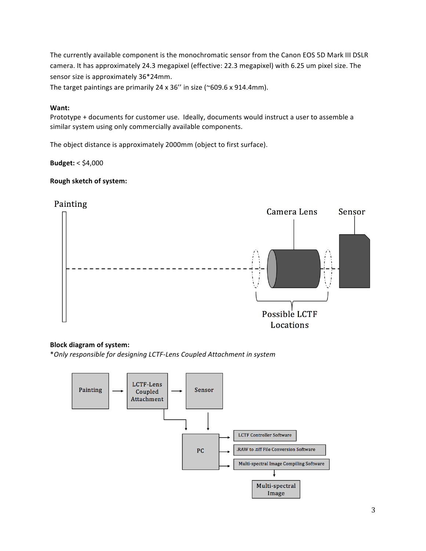The currently available component is the monochromatic sensor from the Canon EOS 5D Mark III DSLR camera. It has approximately 24.3 megapixel (effective: 22.3 megapixel) with 6.25 um pixel size. The sensor size is approximately 36\*24mm.

The target paintings are primarily  $24 \times 36''$  in size (~609.6 x 914.4mm).

#### **Want:**

Prototype + documents for customer use. Ideally, documents would instruct a user to assemble a similar system using only commercially available components.

The object distance is approximately 2000mm (object to first surface).

**Budget:** < \$4,000

#### **Rough sketch of system:**



#### **Block diagram of system:**

\**Only responsible for designing LCTF-Lens Coupled Attachment in system*

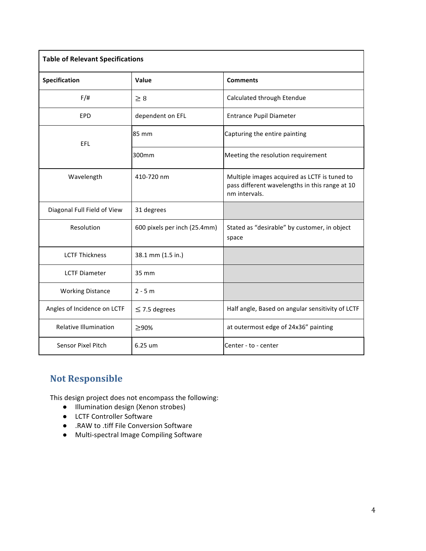| <b>Table of Relevant Specifications</b> |                              |                                                                                                                 |  |  |
|-----------------------------------------|------------------------------|-----------------------------------------------------------------------------------------------------------------|--|--|
| Specification                           | Value                        | <b>Comments</b>                                                                                                 |  |  |
| $F/\ddot{H}$                            | $\geq 8$                     | Calculated through Etendue                                                                                      |  |  |
| EPD                                     | dependent on EFL             | Entrance Pupil Diameter                                                                                         |  |  |
| EFL                                     | 85 mm                        | Capturing the entire painting                                                                                   |  |  |
|                                         | 300mm                        | Meeting the resolution requirement                                                                              |  |  |
| Wavelength                              | 410-720 nm                   | Multiple images acquired as LCTF is tuned to<br>pass different wavelengths in this range at 10<br>nm intervals. |  |  |
| Diagonal Full Field of View             | 31 degrees                   |                                                                                                                 |  |  |
| Resolution                              | 600 pixels per inch (25.4mm) | Stated as "desirable" by customer, in object<br>space                                                           |  |  |
| <b>LCTF Thickness</b>                   | 38.1 mm (1.5 in.)            |                                                                                                                 |  |  |
| <b>LCTF Diameter</b>                    | 35 mm                        |                                                                                                                 |  |  |
| <b>Working Distance</b>                 | $2 - 5 m$                    |                                                                                                                 |  |  |
| Angles of Incidence on LCTF             | $\leq$ 7.5 degrees           | Half angle, Based on angular sensitivity of LCTF                                                                |  |  |
| <b>Relative Illumination</b>            | ≥90%                         | at outermost edge of 24x36" painting                                                                            |  |  |
| <b>Sensor Pixel Pitch</b>               | 6.25 um                      | Center - to - center                                                                                            |  |  |

# **Not Responsible**

This design project does not encompass the following:

- Illumination design (Xenon strobes)
- LCTF Controller Software
- RAW to .tiff File Conversion Software
- Multi-spectral Image Compiling Software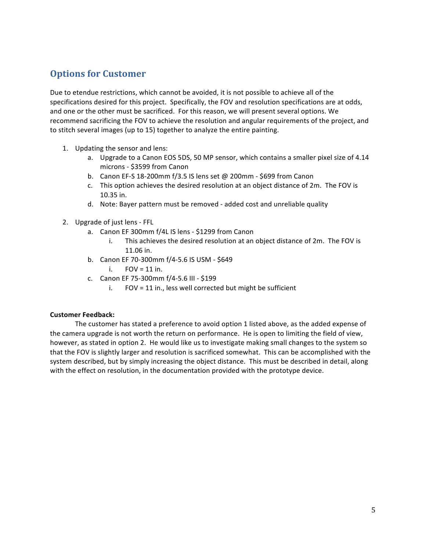# **Options for Customer**

Due to etendue restrictions, which cannot be avoided, it is not possible to achieve all of the specifications desired for this project. Specifically, the FOV and resolution specifications are at odds, and one or the other must be sacrificed. For this reason, we will present several options. We recommend sacrificing the FOV to achieve the resolution and angular requirements of the project, and to stitch several images (up to 15) together to analyze the entire painting.

- 1. Updating the sensor and lens:
	- a. Upgrade to a Canon EOS 5DS, 50 MP sensor, which contains a smaller pixel size of 4.14 microns - \$3599 from Canon
	- b. Canon EF-S 18-200mm  $f/3.5$  IS lens set @ 200mm \$699 from Canon
	- c. This option achieves the desired resolution at an object distance of 2m. The FOV is 10.35 in.
	- d. Note: Bayer pattern must be removed added cost and unreliable quality
- 2. Upgrade of just lens FFL
	- a. Canon EF 300mm f/4L IS lens \$1299 from Canon
		- i. This achieves the desired resolution at an object distance of 2m. The FOV is 11.06 in.
	- b. Canon EF 70-300mm f/4-5.6 IS USM \$649
		- $i.$  FOV = 11 in.
	- c. Canon EF 75-300mm f/4-5.6 III - \$199
		- i.  $FOV = 11$  in., less well corrected but might be sufficient

#### **Customer Feedback:**

The customer has stated a preference to avoid option 1 listed above, as the added expense of the camera upgrade is not worth the return on performance. He is open to limiting the field of view, however, as stated in option 2. He would like us to investigate making small changes to the system so that the FOV is slightly larger and resolution is sacrificed somewhat. This can be accomplished with the system described, but by simply increasing the object distance. This must be described in detail, along with the effect on resolution, in the documentation provided with the prototype device.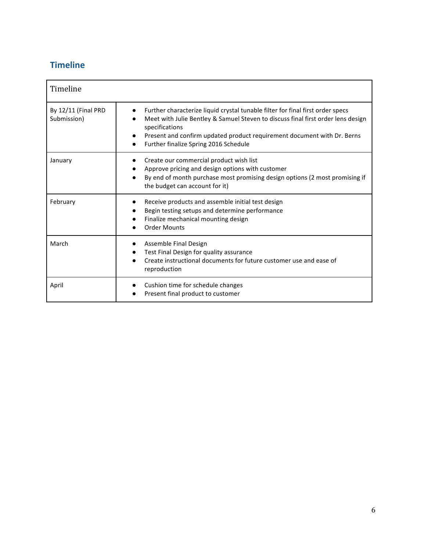# **Timeline**

| Timeline                           |                                                                                                                                                                                                                                                                                                                       |
|------------------------------------|-----------------------------------------------------------------------------------------------------------------------------------------------------------------------------------------------------------------------------------------------------------------------------------------------------------------------|
| By 12/11 (Final PRD<br>Submission) | Further characterize liquid crystal tunable filter for final first order specs<br>Meet with Julie Bentley & Samuel Steven to discuss final first order lens design<br>specifications<br>Present and confirm updated product requirement document with Dr. Berns<br>Further finalize Spring 2016 Schedule<br>$\bullet$ |
| January                            | Create our commercial product wish list<br>Approve pricing and design options with customer<br>By end of month purchase most promising design options (2 most promising if<br>the budget can account for it)                                                                                                          |
| February                           | Receive products and assemble initial test design<br>Begin testing setups and determine performance<br>Finalize mechanical mounting design<br><b>Order Mounts</b>                                                                                                                                                     |
| March                              | Assemble Final Design<br>Test Final Design for quality assurance<br>Create instructional documents for future customer use and ease of<br>reproduction                                                                                                                                                                |
| April                              | Cushion time for schedule changes<br>Present final product to customer                                                                                                                                                                                                                                                |